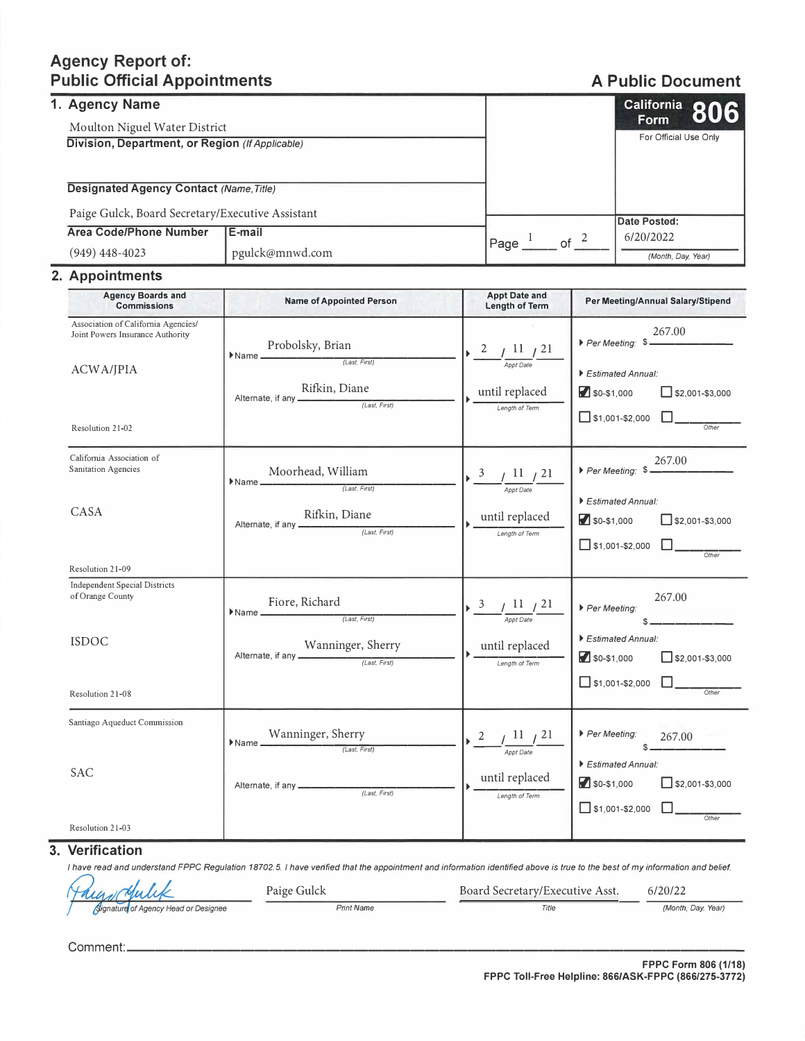## **Agency Report of: Public Official Appointments**

# **A Public Document**

| 1. Agency Name                                                                   |                 |      | California 806                       |
|----------------------------------------------------------------------------------|-----------------|------|--------------------------------------|
| Moulton Niguel Water District<br>Division, Department, or Region (If Applicable) |                 |      | <b>Form</b><br>For Official Use Only |
|                                                                                  |                 |      |                                      |
| <b>Designated Agency Contact (Name, Title)</b>                                   |                 |      |                                      |
| Paige Gulck, Board Secretary/Executive Assistant                                 |                 |      | Date Posted:                         |
| Area Code/Phone Number                                                           | E-mail          | of   | 6/20/2022                            |
| $(949)$ 448-4023                                                                 | pgulck@mnwd.com | Page | (Month, Day, Year)                   |

#### **2. Appointments**

| <b>Agency Boards and</b><br><b>Commissions</b>                                                           | <b>Name of Appointed Person</b>                                                                                                                                                                                                                                                                                                                                                                                                                                                                                                         | <b>Appt Date and</b><br>Length of Term                                                                                                 | Per Meeting/Annual Salary/Stipend                                                                                                                         |
|----------------------------------------------------------------------------------------------------------|-----------------------------------------------------------------------------------------------------------------------------------------------------------------------------------------------------------------------------------------------------------------------------------------------------------------------------------------------------------------------------------------------------------------------------------------------------------------------------------------------------------------------------------------|----------------------------------------------------------------------------------------------------------------------------------------|-----------------------------------------------------------------------------------------------------------------------------------------------------------|
| Association of California Agencies/<br>Joint Powers Insurance Authority<br>ACWA/JPIA<br>Resolution 21-02 | $\begin{minipage}{0.5\linewidth} \textbf{Probolsky, Brian} \hspace{-0.3cm} \begin{minipage}{0.5cm} \begin{tabular}{c} \textbf{Probolsky, Brian} \end{tabular} \end{minipage} \end{minipage} \vspace{-0.3cm} \begin{minipage}{0.5cm} \begin{tabular}{c} \textbf{Probolsky, Brian} \end{tabular} \end{minipage} \end{minipage} \vspace{-0.3cm} \begin{minipage}{0.5cm} \begin{tabular}{c} \textbf{Probolsky, Brian} \end{tabular} \end{minipage} \end{minipage} \caption{Example of the proposed method.} \label{fig:ex$<br>Rifkin, Diane | $\frac{2}{\frac{1}{\sqrt{2}}}\frac{1}{\frac{1}{\sqrt{2}}}\frac{1}{\frac{1}{\sqrt{2}}}\frac{2}{2}}$<br>until replaced<br>Length of Term | 267.00<br>Per Meeting: \$-<br>Estimated Annual:<br>$$0-$1,000$<br>$\Box$ \$2,001-\$3,000<br>$\Box$ \$1,001-\$2,000 $\Box$                                 |
| California Association of<br>Sanitation Agencies<br>CASA<br>Resolution 21-09                             | Moorhead, William<br>(Last, First)<br>$\blacktriangleright$ Name $\equiv$<br>Rifkin, Diane                                                                                                                                                                                                                                                                                                                                                                                                                                              | $\frac{3}{\frac{3}{\text{Appt Date}}}/\frac{11}{21}$<br>until replaced<br>Length of Term                                               | 267.00<br>▶ Per Meeting: $\frac{207.00}{200}$<br>Estimated Annual:<br>$50-51,000$<br>$\Box$ \$2,001-\$3,000<br>$\Box$ \$1,001-\$2,000 $\Box$              |
| <b>Independent Special Districts</b><br>of Orange County<br><b>ISDOC</b><br>Resolution 21-08             | $\begin{tabular}{ll} \hline & \textbf{Five, Richard} \\ \hline & \textbf{Name} & \textbf{({\tiny Last}, {\tiny First})} \end{tabular}$<br>$\frac{\text{Wanninger, Sherry}}{\text{(\textit{Last}, \textit{First})}}$                                                                                                                                                                                                                                                                                                                     | $\frac{3}{\frac{3}{\text{Appt Date}}}\frac{11}{21}$<br>until replaced<br>Length of Term                                                | 267.00<br>Per Meeting:<br>$s$ ___________<br>Estimated Annual:<br>$\blacksquare$ \$0-\$1,000<br>$\Box$ \$2,001-\$3,000<br>$\Box$ \$1,001-\$2,000<br>Other |
| Santiago Aqueduct Commission<br><b>SAC</b><br>Resolution 21-03                                           | $\begin{minipage}{.4\linewidth} \textbf{Name} \xrightarrow{\textbf{Warningger, Sherry}} \textbf{[Last, First]} \xrightarrow{\textbf{[Last, First]}} \textbf{[Last, First]} \end{minipage}$                                                                                                                                                                                                                                                                                                                                              | $\frac{2}{\frac{2}{\sqrt{2}} \frac{11}{\frac{1}{\sqrt{2}} \frac{1}{\sqrt{2}}} \frac{21}{2}}$<br>until replaced<br>Length of Term       | Per Meeting:<br>267.00<br>Estimated Annual:<br>$\blacksquare$ \$0-\$1,000<br>$\Box$ \$2,001-\$3,000<br>$\Box$ \$1,001-\$2,000 $\Box$<br>Other             |

**3. Verification**

*I have read and understand FPPC Regulation 18702. 5. I have verified that the appointment and information identified above is true to the best of my information and belief.* 

| Haunofulik                           | Paige Gulck       | Board Secretary/Executive Asst. | 6/20/22            |
|--------------------------------------|-------------------|---------------------------------|--------------------|
| Signature of Agency Head or Designee | <b>Print Name</b> | Title                           | (Month, Day, Year) |

**Comment: \_\_\_\_\_\_\_\_\_\_\_\_\_\_\_\_\_\_\_\_\_\_\_\_\_\_\_\_\_\_\_\_\_\_\_\_\_\_\_\_\_\_\_ \_**